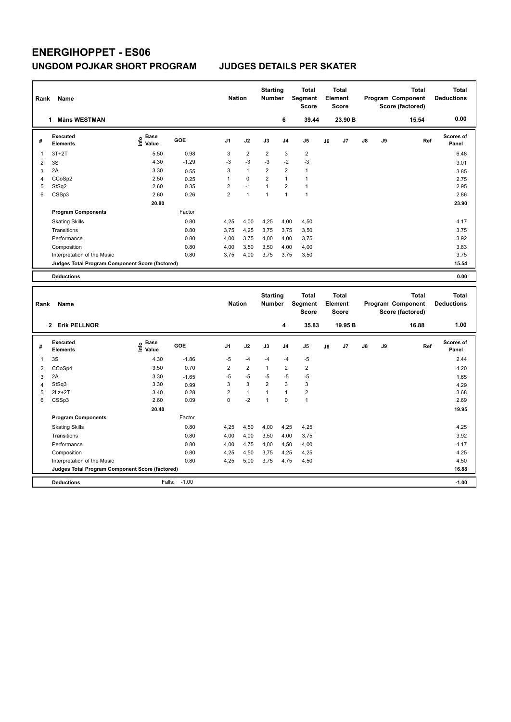| Rank                    | Name                                                                           |                                                   |            | <b>Nation</b>  |                | <b>Starting</b><br><b>Number</b> |                | <b>Total</b><br>Segment<br><b>Score</b> |    | Total<br>Element<br><b>Score</b> |    |    | Program Component<br>Score (factored) | <b>Total</b> | <b>Total</b><br><b>Deductions</b> |
|-------------------------|--------------------------------------------------------------------------------|---------------------------------------------------|------------|----------------|----------------|----------------------------------|----------------|-----------------------------------------|----|----------------------------------|----|----|---------------------------------------|--------------|-----------------------------------|
|                         | <b>Måns WESTMAN</b><br>1                                                       |                                                   |            |                |                |                                  | 6              | 39.44                                   |    | 23.90 B                          |    |    |                                       | 15.54        | 0.00                              |
| #                       | <b>Executed</b><br><b>Elements</b>                                             | Base<br>$\frac{6}{5}$ Base<br>$\frac{1}{5}$ Value | <b>GOE</b> | J <sub>1</sub> | J2             | J3                               | J <sub>4</sub> | J <sub>5</sub>                          | J6 | J <sub>7</sub>                   | J8 | J9 |                                       | Ref          | <b>Scores of</b><br>Panel         |
| 1                       | $3T+2T$                                                                        | 5.50                                              | 0.98       | 3              | $\overline{2}$ | $\overline{2}$                   | 3              | $\overline{2}$                          |    |                                  |    |    |                                       |              | 6.48                              |
| $\overline{\mathbf{c}}$ | 3S                                                                             | 4.30                                              | $-1.29$    | -3             | $-3$           | -3                               | $-2$           | -3                                      |    |                                  |    |    |                                       |              | 3.01                              |
| 3                       | 2A                                                                             | 3.30                                              | 0.55       | 3              | $\mathbf{1}$   | $\overline{2}$                   | $\overline{2}$ | $\mathbf{1}$                            |    |                                  |    |    |                                       |              | 3.85                              |
| $\overline{4}$          | CCoSp2                                                                         | 2.50                                              | 0.25       | $\mathbf{1}$   | $\Omega$       | $\overline{2}$                   | $\mathbf{1}$   | $\mathbf{1}$                            |    |                                  |    |    |                                       |              | 2.75                              |
| 5                       | StSq2                                                                          | 2.60                                              | 0.35       | $\overline{2}$ | $-1$           | $\mathbf{1}$                     | $\overline{2}$ | $\mathbf{1}$                            |    |                                  |    |    |                                       |              | 2.95                              |
| 6                       | CSSp3                                                                          | 2.60                                              | 0.26       | $\overline{2}$ | $\mathbf{1}$   | $\overline{1}$                   | $\mathbf{1}$   | $\mathbf{1}$                            |    |                                  |    |    |                                       |              | 2.86                              |
|                         |                                                                                | 20.80                                             |            |                |                |                                  |                |                                         |    |                                  |    |    |                                       |              | 23.90                             |
|                         | <b>Program Components</b>                                                      |                                                   | Factor     |                |                |                                  |                |                                         |    |                                  |    |    |                                       |              |                                   |
|                         | <b>Skating Skills</b>                                                          |                                                   | 0.80       | 4,25           | 4,00           | 4,25                             | 4,00           | 4,50                                    |    |                                  |    |    |                                       |              | 4.17                              |
|                         | Transitions                                                                    |                                                   | 0.80       | 3,75           | 4,25           | 3,75                             | 3,75           | 3,50                                    |    |                                  |    |    |                                       |              | 3.75                              |
|                         | Performance                                                                    |                                                   | 0.80       | 4,00           | 3,75           | 4,00                             | 4,00           | 3,75                                    |    |                                  |    |    |                                       |              | 3.92                              |
|                         | Composition                                                                    |                                                   | 0.80       | 4,00           | 3,50           | 3,50                             | 4,00           | 4,00                                    |    |                                  |    |    |                                       |              | 3.83                              |
|                         | Interpretation of the Music                                                    |                                                   | 0.80       | 3,75           | 4,00           | 3,75                             | 3,75           | 3,50                                    |    |                                  |    |    |                                       |              | 3.75                              |
|                         | Judges Total Program Component Score (factored)                                |                                                   |            |                |                |                                  |                |                                         |    |                                  |    |    |                                       |              | 15.54                             |
|                         | <b>Deductions</b>                                                              |                                                   |            |                |                |                                  |                |                                         |    |                                  |    |    |                                       |              | 0.00                              |
|                         |                                                                                |                                                   |            |                |                |                                  |                |                                         |    |                                  |    |    |                                       |              |                                   |
|                         |                                                                                |                                                   |            |                |                |                                  |                |                                         |    |                                  |    |    |                                       |              |                                   |
| Rank                    | Name                                                                           |                                                   |            | <b>Nation</b>  |                | <b>Starting</b><br>Number        |                | <b>Total</b><br>Segment<br><b>Score</b> |    | Total<br>Element<br><b>Score</b> |    |    | Program Component<br>Score (factored) | <b>Total</b> | <b>Total</b><br><b>Deductions</b> |
|                         | 2 Erik PELLNOR                                                                 |                                                   |            |                |                |                                  | 4              | 35.83                                   |    | 19.95 <sub>B</sub>               |    |    |                                       | 16.88        | 1.00                              |
| #                       | Executed<br><b>Elements</b>                                                    | <b>Base</b><br>lnfo<br>Value                      | <b>GOE</b> | J1             | J2             | J3                               | J4             | J <sub>5</sub>                          | J6 | J7                               | J8 | J9 |                                       | Ref          | Scores of<br>Panel                |
| 1                       | 3S                                                                             | 4.30                                              | $-1.86$    | $-5$           | $-4$           | $-4$                             | $-4$           | -5                                      |    |                                  |    |    |                                       |              | 2.44                              |
| $\overline{\mathbf{c}}$ | CCoSp4                                                                         | 3.50                                              | 0.70       | $\overline{2}$ | $\overline{2}$ | $\mathbf{1}$                     | $\overline{2}$ | $\overline{2}$                          |    |                                  |    |    |                                       |              | 4.20                              |
| 3                       | 2A                                                                             | 3.30                                              | $-1.65$    | $-5$           | $-5$           | -5                               | $-5$           | $-5$                                    |    |                                  |    |    |                                       |              |                                   |
| 4                       | StSq3                                                                          | 3.30                                              | 0.99       | 3              | 3              | $\overline{2}$                   | $\overline{3}$ | 3                                       |    |                                  |    |    |                                       |              | 1.65<br>4.29                      |
| 5                       | $2Lz + 2T$                                                                     | 3.40                                              | 0.28       | $\overline{2}$ | $\mathbf{1}$   | $\mathbf{1}$                     | $\mathbf{1}$   | $\overline{2}$                          |    |                                  |    |    |                                       |              | 3.68                              |
| 6                       | CSSp3                                                                          | 2.60                                              | 0.09       | $\mathbf 0$    | $-2$           | 1                                | $\mathbf 0$    | $\mathbf{1}$                            |    |                                  |    |    |                                       |              | 2.69                              |
|                         |                                                                                | 20.40                                             |            |                |                |                                  |                |                                         |    |                                  |    |    |                                       |              | 19.95                             |
|                         | <b>Program Components</b>                                                      |                                                   | Factor     |                |                |                                  |                |                                         |    |                                  |    |    |                                       |              |                                   |
|                         |                                                                                |                                                   | 0.80       | 4.25           |                |                                  |                |                                         |    |                                  |    |    |                                       |              | 4.25                              |
|                         | <b>Skating Skills</b><br>Transitions                                           |                                                   | 0.80       |                | 4,50           | 4,00                             | 4,25           | 4,25                                    |    |                                  |    |    |                                       |              | 3.92                              |
|                         |                                                                                |                                                   | 0.80       | 4,00           | 4,00           | 3,50                             | 4,00           | 3,75                                    |    |                                  |    |    |                                       |              |                                   |
|                         | Performance                                                                    |                                                   |            | 4,00           | 4,75           | 4,00                             | 4,50           | 4,00                                    |    |                                  |    |    |                                       |              | 4.17                              |
|                         | Composition                                                                    |                                                   | 0.80       | 4,25           | 4,50           | 3,75                             | 4,25           | 4,25                                    |    |                                  |    |    |                                       |              | 4.25                              |
|                         | Interpretation of the Music<br>Judges Total Program Component Score (factored) |                                                   | 0.80       | 4,25           | 5,00           | 3,75                             | 4,75           | 4,50                                    |    |                                  |    |    |                                       |              | 4.50<br>16.88                     |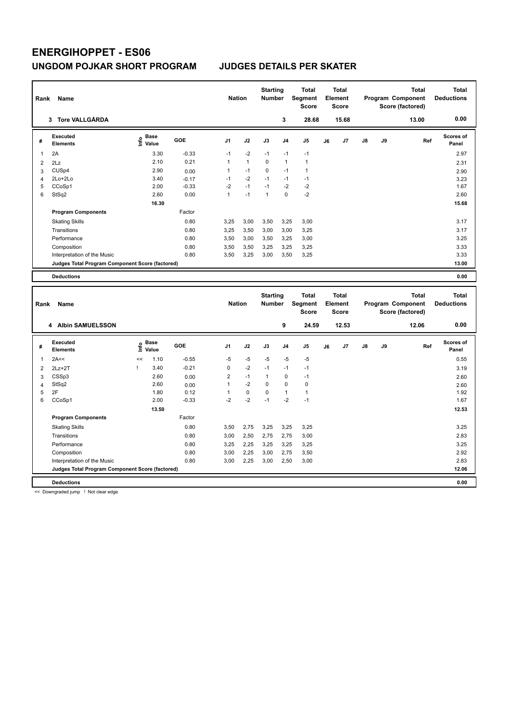| Rank                | Name                                            |                              |              | <b>Nation</b>       |              | <b>Starting</b><br><b>Number</b> |                | <b>Total</b><br><b>Segment</b><br><b>Score</b> |    | <b>Total</b><br><b>Element</b><br><b>Score</b> |    |    | <b>Total</b><br>Program Component<br>Score (factored) | <b>Total</b><br><b>Deductions</b> |
|---------------------|-------------------------------------------------|------------------------------|--------------|---------------------|--------------|----------------------------------|----------------|------------------------------------------------|----|------------------------------------------------|----|----|-------------------------------------------------------|-----------------------------------|
|                     | 3 Tore VALLGÅRDA                                |                              |              |                     |              |                                  | 3              | 28.68                                          |    | 15.68                                          |    |    | 13.00                                                 | 0.00                              |
| #                   | <b>Executed</b><br><b>Elements</b>              | <b>Base</b><br>١nf٥<br>Value | GOE          | J <sub>1</sub>      | J2           | J3                               | J <sub>4</sub> | J5                                             | J6 | J7                                             | J8 | J9 | Ref                                                   | Scores of<br>Panel                |
| 1                   | 2A                                              | 3.30                         | $-0.33$      | $-1$                | $-2$         | $-1$                             | $-1$           | $-1$                                           |    |                                                |    |    |                                                       | 2.97                              |
| $\overline{2}$      | 2Lz                                             | 2.10                         | 0.21         | 1                   | $\mathbf{1}$ | 0                                | $\mathbf{1}$   | $\mathbf{1}$                                   |    |                                                |    |    |                                                       | 2.31                              |
| 3                   | CUS <sub>p4</sub>                               | 2.90                         | 0.00         | 1                   | $-1$         | 0                                | $-1$           | $\mathbf{1}$                                   |    |                                                |    |    |                                                       | 2.90                              |
| $\overline{4}$      | 2Lo+2Lo                                         | 3.40                         | $-0.17$      | $-1$                | $-2$         | $-1$                             | $-1$           | $-1$                                           |    |                                                |    |    |                                                       | 3.23                              |
| 5                   | CCoSp1                                          | 2.00                         | $-0.33$      | $-2$                | $-1$         | $-1$                             | $-2$           | $-2$                                           |    |                                                |    |    |                                                       | 1.67                              |
| 6                   | StSq2                                           | 2.60                         | 0.00         | $\mathbf{1}$        | $-1$         | $\mathbf{1}$                     | $\Omega$       | $-2$                                           |    |                                                |    |    |                                                       | 2.60                              |
|                     |                                                 | 16.30                        |              |                     |              |                                  |                |                                                |    |                                                |    |    |                                                       | 15.68                             |
|                     | <b>Program Components</b>                       |                              | Factor       |                     |              |                                  |                |                                                |    |                                                |    |    |                                                       |                                   |
|                     | <b>Skating Skills</b>                           |                              | 0.80         | 3,25                | 3,00         | 3,50                             | 3,25           | 3,00                                           |    |                                                |    |    |                                                       | 3.17                              |
|                     | Transitions                                     |                              | 0.80         | 3,25                | 3,50         | 3,00                             | 3,00           | 3,25                                           |    |                                                |    |    |                                                       | 3.17                              |
|                     | Performance                                     |                              | 0.80         | 3,50                | 3,00         | 3,50                             | 3,25           | 3,00                                           |    |                                                |    |    |                                                       | 3.25                              |
|                     | Composition                                     |                              | 0.80         | 3,50                | 3,50         | 3,25                             | 3,25           | 3,25                                           |    |                                                |    |    |                                                       | 3.33                              |
|                     | Interpretation of the Music                     |                              | 0.80         | 3,50                | 3,25         | 3,00                             | 3,50           | 3,25                                           |    |                                                |    |    |                                                       | 3.33                              |
|                     | Judges Total Program Component Score (factored) |                              |              |                     |              |                                  |                |                                                |    |                                                |    |    |                                                       | 13.00                             |
|                     |                                                 |                              |              |                     |              |                                  |                |                                                |    |                                                |    |    |                                                       |                                   |
|                     | <b>Deductions</b>                               |                              |              |                     |              |                                  |                |                                                |    |                                                |    |    |                                                       | 0.00                              |
|                     |                                                 |                              |              |                     |              |                                  |                |                                                |    |                                                |    |    |                                                       |                                   |
|                     |                                                 |                              |              |                     |              |                                  |                |                                                |    |                                                |    |    |                                                       |                                   |
|                     |                                                 |                              |              |                     |              | <b>Starting</b>                  |                | <b>Total</b>                                   |    | <b>Total</b>                                   |    |    | <b>Total</b>                                          | <b>Total</b>                      |
| Rank                | <b>Name</b>                                     |                              |              | <b>Nation</b>       |              | Number                           |                | Segment                                        |    | Element                                        |    |    | Program Component                                     | <b>Deductions</b>                 |
|                     |                                                 |                              |              |                     |              |                                  |                | <b>Score</b>                                   |    | <b>Score</b>                                   |    |    | Score (factored)                                      |                                   |
|                     | 4 Albin SAMUELSSON                              |                              |              |                     |              |                                  | 9              | 24.59                                          |    | 12.53                                          |    |    | 12.06                                                 | 0.00                              |
| #                   | <b>Executed</b><br><b>Elements</b>              | <b>Base</b><br>١nf٥<br>Value | GOE          | J <sub>1</sub>      | J2           | J3                               | J <sub>4</sub> | J5                                             | J6 | J7                                             | J8 | J9 | Ref                                                   | Scores of<br>Panel                |
| 1                   | 2A<<                                            | 1.10<br><<                   | $-0.55$      | $-5$                | $-5$         | $-5$                             | $-5$           | $-5$                                           |    |                                                |    |    |                                                       | 0.55                              |
|                     |                                                 | 3.40<br>Ţ                    | $-0.21$      | 0                   | $-2$         | $-1$                             | $-1$           | $-1$                                           |    |                                                |    |    |                                                       |                                   |
| $\overline{2}$      | $2Lz+2T$                                        | 2.60                         |              |                     | $-1$         | $\mathbf{1}$                     | $\mathbf 0$    | $-1$                                           |    |                                                |    |    |                                                       | 3.19                              |
| 3                   | CSSp3                                           | 2.60                         | 0.00         | $\overline{c}$<br>1 | $-2$         | 0                                | $\mathbf 0$    | $\mathbf 0$                                    |    |                                                |    |    |                                                       | 2.60                              |
| $\overline{4}$<br>5 | StSq2<br>2F                                     | 1.80                         | 0.00<br>0.12 | 1                   | $\mathbf 0$  | $\Omega$                         | $\mathbf{1}$   | $\mathbf{1}$                                   |    |                                                |    |    |                                                       | 2.60<br>1.92                      |
| 6                   | CCoSp1                                          | 2.00                         | $-0.33$      | $-2$                | $-2$         | $-1$                             | $-2$           | $-1$                                           |    |                                                |    |    |                                                       | 1.67                              |
|                     |                                                 | 13.50                        |              |                     |              |                                  |                |                                                |    |                                                |    |    |                                                       | 12.53                             |
|                     | <b>Program Components</b>                       |                              | Factor       |                     |              |                                  |                |                                                |    |                                                |    |    |                                                       |                                   |
|                     | <b>Skating Skills</b>                           |                              | 0.80         | 3,50                | 2,75         | 3,25                             | 3,25           | 3,25                                           |    |                                                |    |    |                                                       | 3.25                              |
|                     | Transitions                                     |                              | 0.80         | 3,00                | 2,50         | 2,75                             | 2,75           | 3,00                                           |    |                                                |    |    |                                                       | 2.83                              |
|                     | Performance                                     |                              | 0.80         | 3,25                | 2,25         | 3,25                             | 3,25           | 3,25                                           |    |                                                |    |    |                                                       | 3.25                              |
|                     | Composition                                     |                              | 0.80         | 3,00                | 2,25         | 3,00                             | 2,75           | 3,50                                           |    |                                                |    |    |                                                       | 2.92                              |
|                     | Interpretation of the Music                     |                              | 0.80         | 3,00                | 2,25         | 3,00                             | 2,50           | 3,00                                           |    |                                                |    |    |                                                       | 2.83                              |
|                     | Judges Total Program Component Score (factored) |                              |              |                     |              |                                  |                |                                                |    |                                                |    |    |                                                       | 12.06                             |

<< Downgraded jump ! Not clear edge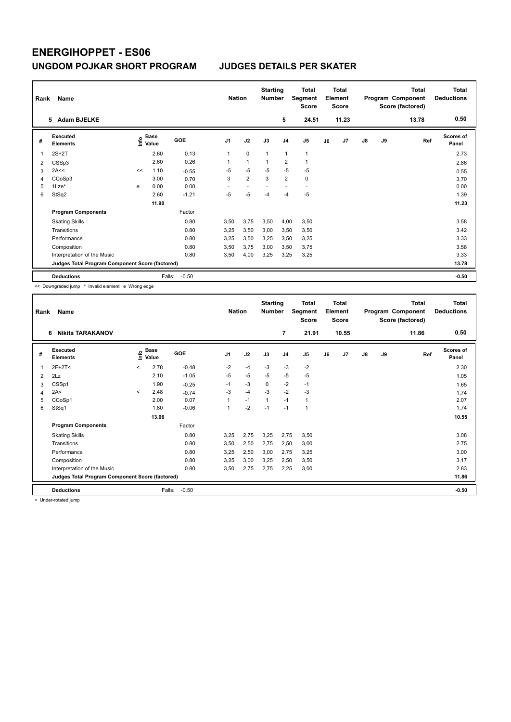| Rank<br>Name |                                                 |    |                                  |            | <b>Nation</b>  |                | <b>Starting</b><br><b>Number</b> |                | <b>Total</b><br>Segment<br><b>Score</b> | <b>Total</b><br>Element<br><b>Score</b> |       |    |           | <b>Total</b><br>Program Component<br>Score (factored) | Total<br><b>Deductions</b> |
|--------------|-------------------------------------------------|----|----------------------------------|------------|----------------|----------------|----------------------------------|----------------|-----------------------------------------|-----------------------------------------|-------|----|-----------|-------------------------------------------------------|----------------------------|
|              | 5 Adam BJELKE                                   |    |                                  |            |                |                |                                  | 5              | 24.51                                   |                                         | 11.23 |    |           | 13.78                                                 | 0.50                       |
| #            | <b>Executed</b><br><b>Elements</b>              |    | <b>Base</b><br>e Base<br>⊆ Value | <b>GOE</b> | J <sub>1</sub> | J2             | J3                               | J <sub>4</sub> | J5                                      | J6                                      | J7    | J8 | <b>J9</b> | Ref                                                   | <b>Scores of</b><br>Panel  |
| 1            | $2S+2T$                                         |    | 2.60                             | 0.13       | 1              | $\mathbf 0$    | $\overline{1}$                   | $\overline{1}$ | 1                                       |                                         |       |    |           |                                                       | 2.73                       |
| 2            | CSSp3                                           |    | 2.60                             | 0.26       | 1              | $\mathbf{1}$   | $\overline{1}$                   | $\overline{2}$ | 1                                       |                                         |       |    |           |                                                       | 2.86                       |
| 3            | 2A<<                                            | << | 1.10                             | $-0.55$    | $-5$           | $-5$           | $-5$                             | $-5$           | $-5$                                    |                                         |       |    |           |                                                       | 0.55                       |
| 4            | CCoSp3                                          |    | 3.00                             | 0.70       | 3              | $\overline{2}$ | 3                                | $\overline{2}$ | $\mathbf 0$                             |                                         |       |    |           |                                                       | 3.70                       |
| 5            | $1$ Lze $*$                                     | e  | 0.00                             | 0.00       |                |                |                                  |                | $\overline{a}$                          |                                         |       |    |           |                                                       | 0.00                       |
| 6            | StSq2                                           |    | 2.60                             | $-1.21$    | $-5$           | $-5$           | $-4$                             | $-4$           | $-5$                                    |                                         |       |    |           |                                                       | 1.39                       |
|              |                                                 |    | 11.90                            |            |                |                |                                  |                |                                         |                                         |       |    |           |                                                       | 11.23                      |
|              | <b>Program Components</b>                       |    |                                  | Factor     |                |                |                                  |                |                                         |                                         |       |    |           |                                                       |                            |
|              | <b>Skating Skills</b>                           |    |                                  | 0.80       | 3,50           | 3,75           | 3,50                             | 4,00           | 3,50                                    |                                         |       |    |           |                                                       | 3.58                       |
|              | Transitions                                     |    |                                  | 0.80       | 3,25           | 3,50           | 3,00                             | 3,50           | 3,50                                    |                                         |       |    |           |                                                       | 3.42                       |
|              | Performance                                     |    |                                  | 0.80       | 3,25           | 3,50           | 3,25                             | 3,50           | 3,25                                    |                                         |       |    |           |                                                       | 3.33                       |
|              | Composition                                     |    |                                  | 0.80       | 3.50           | 3,75           | 3,00                             | 3,50           | 3,75                                    |                                         |       |    |           |                                                       | 3.58                       |
|              | Interpretation of the Music                     |    |                                  | 0.80       | 3,50           | 4,00           | 3,25                             | 3,25           | 3,25                                    |                                         |       |    |           |                                                       | 3.33                       |
|              | Judges Total Program Component Score (factored) |    |                                  |            |                |                |                                  |                |                                         |                                         |       |    |           |                                                       | 13.78                      |
|              | <b>Deductions</b>                               |    | Falls:                           | $-0.50$    |                |                |                                  |                |                                         |                                         |       |    |           |                                                       | $-0.50$                    |

<< Downgraded jump \* Invalid element e Wrong edge

| Rank | Name                                            |                          |               |         |                | <b>Nation</b> |              | <b>Starting</b><br><b>Number</b> | <b>Total</b><br>Segment<br><b>Score</b> | <b>Total</b><br>Element<br><b>Score</b> |       |    |    | <b>Total</b><br>Program Component<br>Score (factored) | <b>Total</b><br><b>Deductions</b> |
|------|-------------------------------------------------|--------------------------|---------------|---------|----------------|---------------|--------------|----------------------------------|-----------------------------------------|-----------------------------------------|-------|----|----|-------------------------------------------------------|-----------------------------------|
|      | 6<br><b>Nikita TARAKANOV</b>                    |                          |               |         |                |               |              | $\overline{7}$                   | 21.91                                   |                                         | 10.55 |    |    | 11.86                                                 | 0.50                              |
| #    | Executed<br><b>Elements</b>                     | ١nfo                     | Base<br>Value | GOE     | J <sub>1</sub> | J2            | J3           | J <sub>4</sub>                   | J <sub>5</sub>                          | J6                                      | J7    | J8 | J9 | Ref                                                   | <b>Scores of</b><br>Panel         |
| 1    | $2F+2T<$                                        | $\overline{\phantom{0}}$ | 2.78          | $-0.48$ | $-2$           | $-4$          | $-3$         | $-3$                             | $-2$                                    |                                         |       |    |    |                                                       | 2.30                              |
| 2    | 2Lz                                             |                          | 2.10          | $-1.05$ | $-5$           | $-5$          | $-5$         | $-5$                             | $-5$                                    |                                         |       |    |    |                                                       | 1.05                              |
| 3    | CSSp1                                           |                          | 1.90          | $-0.25$ | $-1$           | $-3$          | 0            | $-2$                             | $-1$                                    |                                         |       |    |    |                                                       | 1.65                              |
| 4    | 2A<                                             | $\prec$                  | 2.48          | $-0.74$ | $-3$           | $-4$          | $-3$         | $-2$                             | $-3$                                    |                                         |       |    |    |                                                       | 1.74                              |
| 5    | CCoSp1                                          |                          | 2.00          | 0.07    | 1              | $-1$          | $\mathbf{1}$ | $-1$                             | 1                                       |                                         |       |    |    |                                                       | 2.07                              |
| 6    | StSq1                                           |                          | 1.80          | $-0.06$ | 1              | $-2$          | $-1$         | $-1$                             | 1                                       |                                         |       |    |    |                                                       | 1.74                              |
|      |                                                 |                          | 13.06         |         |                |               |              |                                  |                                         |                                         |       |    |    |                                                       | 10.55                             |
|      | <b>Program Components</b>                       |                          |               | Factor  |                |               |              |                                  |                                         |                                         |       |    |    |                                                       |                                   |
|      | <b>Skating Skills</b>                           |                          |               | 0.80    | 3,25           | 2,75          | 3,25         | 2,75                             | 3,50                                    |                                         |       |    |    |                                                       | 3.08                              |
|      | Transitions                                     |                          |               | 0.80    | 3,50           | 2,50          | 2,75         | 2,50                             | 3,00                                    |                                         |       |    |    |                                                       | 2.75                              |
|      | Performance                                     |                          |               | 0.80    | 3,25           | 2,50          | 3,00         | 2,75                             | 3,25                                    |                                         |       |    |    |                                                       | 3.00                              |
|      | Composition                                     |                          |               | 0.80    | 3,25           | 3,00          | 3,25         | 2,50                             | 3,50                                    |                                         |       |    |    |                                                       | 3.17                              |
|      | Interpretation of the Music                     |                          |               | 0.80    | 3,50           | 2,75          | 2,75         | 2,25                             | 3,00                                    |                                         |       |    |    |                                                       | 2.83                              |
|      | Judges Total Program Component Score (factored) |                          |               |         |                |               |              |                                  |                                         |                                         |       |    |    |                                                       | 11.86                             |
|      | <b>Deductions</b>                               |                          | Falls:        | $-0.50$ |                |               |              |                                  |                                         |                                         |       |    |    |                                                       | $-0.50$                           |

< Under-rotated jump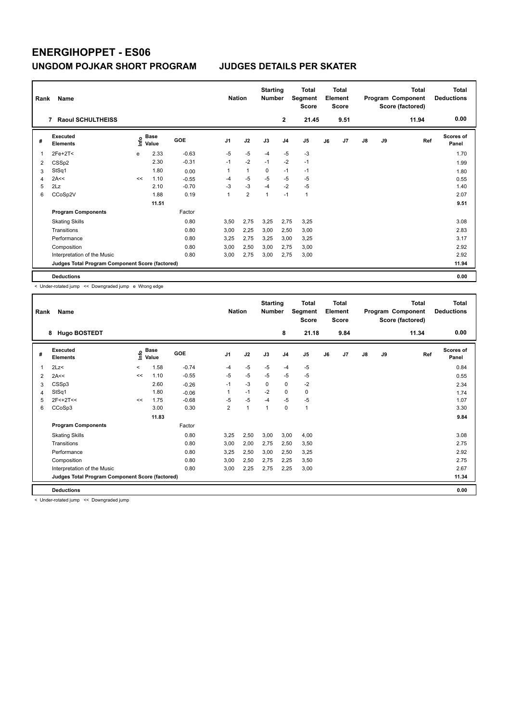|   | Name<br>Rank                                    |      |               |            |                | <b>Starting</b><br><b>Nation</b><br><b>Number</b> |                |                | <b>Total</b><br>Segment<br><b>Score</b> | <b>Total</b><br>Element<br>Score |                |               |    | <b>Total</b><br>Program Component<br>Score (factored) | Total<br><b>Deductions</b> |
|---|-------------------------------------------------|------|---------------|------------|----------------|---------------------------------------------------|----------------|----------------|-----------------------------------------|----------------------------------|----------------|---------------|----|-------------------------------------------------------|----------------------------|
|   | <b>Raoul SCHULTHEISS</b><br>7                   |      |               |            |                |                                                   |                | $\mathbf{2}$   | 21.45                                   |                                  | 9.51           |               |    | 11.94                                                 | 0.00                       |
| # | Executed<br><b>Elements</b>                     | lnfo | Base<br>Value | <b>GOE</b> | J <sub>1</sub> | J2                                                | J3             | J <sub>4</sub> | J5                                      | J6                               | J <sub>7</sub> | $\mathsf{J}8$ | J9 | Ref                                                   | <b>Scores of</b><br>Panel  |
| 1 | $2Fe+2T2$                                       | e    | 2.33          | $-0.63$    | $-5$           | $-5$                                              | $-4$           | $-5$           | $-3$                                    |                                  |                |               |    |                                                       | 1.70                       |
| 2 | CSSp2                                           |      | 2.30          | $-0.31$    | $-1$           | $-2$                                              | $-1$           | $-2$           | $-1$                                    |                                  |                |               |    |                                                       | 1.99                       |
| 3 | StSq1                                           |      | 1.80          | 0.00       | 1              | $\mathbf{1}$                                      | 0              | $-1$           | $-1$                                    |                                  |                |               |    |                                                       | 1.80                       |
| 4 | 2A<<                                            | <<   | 1.10          | $-0.55$    | $-4$           | $-5$                                              | $-5$           | $-5$           | $-5$                                    |                                  |                |               |    |                                                       | 0.55                       |
| 5 | 2Lz                                             |      | 2.10          | $-0.70$    | $-3$           | $-3$                                              | $-4$           | $-2$           | $-5$                                    |                                  |                |               |    |                                                       | 1.40                       |
| 6 | CCoSp2V                                         |      | 1.88          | 0.19       | 1              | $\overline{2}$                                    | $\overline{1}$ | $-1$           | $\mathbf{1}$                            |                                  |                |               |    |                                                       | 2.07                       |
|   |                                                 |      | 11.51         |            |                |                                                   |                |                |                                         |                                  |                |               |    |                                                       | 9.51                       |
|   | <b>Program Components</b>                       |      |               | Factor     |                |                                                   |                |                |                                         |                                  |                |               |    |                                                       |                            |
|   | <b>Skating Skills</b>                           |      |               | 0.80       | 3,50           | 2,75                                              | 3,25           | 2,75           | 3,25                                    |                                  |                |               |    |                                                       | 3.08                       |
|   | Transitions                                     |      |               | 0.80       | 3,00           | 2,25                                              | 3,00           | 2,50           | 3,00                                    |                                  |                |               |    |                                                       | 2.83                       |
|   | Performance                                     |      |               | 0.80       | 3,25           | 2,75                                              | 3,25           | 3,00           | 3,25                                    |                                  |                |               |    |                                                       | 3.17                       |
|   | Composition                                     |      |               | 0.80       | 3,00           | 2,50                                              | 3,00           | 2,75           | 3,00                                    |                                  |                |               |    |                                                       | 2.92                       |
|   | Interpretation of the Music                     |      |               | 0.80       | 3,00           | 2,75                                              | 3,00           | 2,75           | 3,00                                    |                                  |                |               |    |                                                       | 2.92                       |
|   | Judges Total Program Component Score (factored) |      |               |            |                |                                                   |                |                |                                         |                                  |                |               |    |                                                       | 11.94                      |
|   | <b>Deductions</b>                               |      |               |            |                |                                                   |                |                |                                         |                                  |                |               |    |                                                       | 0.00                       |

< Under-rotated jump << Downgraded jump e Wrong edge

|                | Name<br>Rank                                    |         |                      |         |                |      | <b>Starting</b><br><b>Number</b> |                | Total<br>Segment<br><b>Score</b> |    | <b>Total</b><br>Element<br><b>Score</b> |               |    | <b>Total</b><br>Program Component<br>Score (factored) | Total<br><b>Deductions</b> |
|----------------|-------------------------------------------------|---------|----------------------|---------|----------------|------|----------------------------------|----------------|----------------------------------|----|-----------------------------------------|---------------|----|-------------------------------------------------------|----------------------------|
|                | <b>Hugo BOSTEDT</b><br>8                        |         |                      |         |                |      |                                  | 8              | 21.18                            |    | 9.84                                    |               |    | 11.34                                                 | 0.00                       |
| #              | <b>Executed</b><br><b>Elements</b>              | ١nf٥    | <b>Base</b><br>Value | GOE     | J <sub>1</sub> | J2   | J3                               | J <sub>4</sub> | J5                               | J6 | J7                                      | $\mathsf{J}8$ | J9 | Ref                                                   | Scores of<br>Panel         |
| 1              | 2Lz<                                            | $\,<\,$ | 1.58                 | $-0.74$ | $-4$           | $-5$ | $-5$                             | $-4$           | $-5$                             |    |                                         |               |    |                                                       | 0.84                       |
| $\overline{2}$ | 2A<<                                            | <<      | 1.10                 | $-0.55$ | $-5$           | $-5$ | $-5$                             | $-5$           | $-5$                             |    |                                         |               |    |                                                       | 0.55                       |
| 3              | CSSp3                                           |         | 2.60                 | $-0.26$ | $-1$           | $-3$ | $\Omega$                         | $\Omega$       | $-2$                             |    |                                         |               |    |                                                       | 2.34                       |
| 4              | StSq1                                           |         | 1.80                 | $-0.06$ | 1              | $-1$ | $-2$                             | $\mathbf 0$    | 0                                |    |                                         |               |    |                                                       | 1.74                       |
| 5              | 2F<+2T<<                                        | <<      | 1.75                 | $-0.68$ | $-5$           | $-5$ | $-4$                             | $-5$           | $-5$                             |    |                                         |               |    |                                                       | 1.07                       |
| 6              | CCoSp3                                          |         | 3.00                 | 0.30    | $\overline{2}$ | 1    | $\mathbf{1}$                     | $\mathbf 0$    | $\mathbf{1}$                     |    |                                         |               |    |                                                       | 3.30                       |
|                |                                                 |         | 11.83                |         |                |      |                                  |                |                                  |    |                                         |               |    |                                                       | 9.84                       |
|                | <b>Program Components</b>                       |         |                      | Factor  |                |      |                                  |                |                                  |    |                                         |               |    |                                                       |                            |
|                | <b>Skating Skills</b>                           |         |                      | 0.80    | 3,25           | 2,50 | 3,00                             | 3,00           | 4,00                             |    |                                         |               |    |                                                       | 3.08                       |
|                | Transitions                                     |         |                      | 0.80    | 3,00           | 2,00 | 2,75                             | 2,50           | 3,50                             |    |                                         |               |    |                                                       | 2.75                       |
|                | Performance                                     |         |                      | 0.80    | 3,25           | 2,50 | 3,00                             | 2,50           | 3,25                             |    |                                         |               |    |                                                       | 2.92                       |
|                | Composition                                     |         |                      | 0.80    | 3,00           | 2,50 | 2,75                             | 2,25           | 3,50                             |    |                                         |               |    |                                                       | 2.75                       |
|                | Interpretation of the Music                     |         |                      | 0.80    | 3,00           | 2,25 | 2,75                             | 2,25           | 3,00                             |    |                                         |               |    |                                                       | 2.67                       |
|                | Judges Total Program Component Score (factored) |         |                      |         |                |      |                                  |                |                                  |    |                                         |               |    |                                                       | 11.34                      |
|                | <b>Deductions</b>                               |         |                      |         |                |      |                                  |                |                                  |    |                                         |               |    |                                                       | 0.00                       |

< Under-rotated jump << Downgraded jump